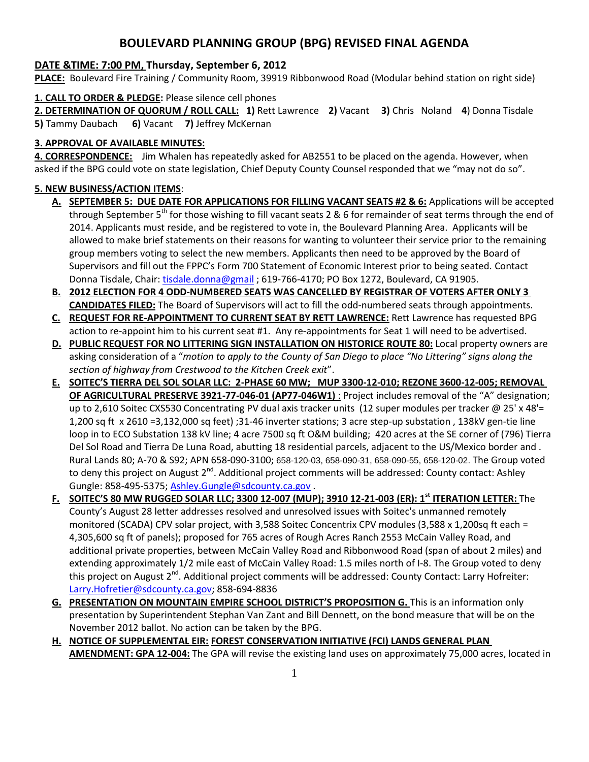# **BOULEVARD PLANNING GROUP (BPG) REVISED FINAL AGENDA**

### **DATE &TIME: 7:00 PM, Thursday, September 6, 2012**

**PLACE:** Boulevard Fire Training / Community Room, 39919 Ribbonwood Road (Modular behind station on right side)

### **1. CALL TO ORDER & PLEDGE:** Please silence cell phones

**2. DETERMINATION OF QUORUM / ROLL CALL: 1)** Rett Lawrence **2)** Vacant **3)** Chris Noland **4**) Donna Tisdale **5)** Tammy Daubach **6)** Vacant **7)** Jeffrey McKernan

# **3. APPROVAL OF AVAILABLE MINUTES:**

**4. CORRESPONDENCE:** Jim Whalen has repeatedly asked for AB2551 to be placed on the agenda. However, when asked if the BPG could vote on state legislation, Chief Deputy County Counsel responded that we "may not do so".

# **5. NEW BUSINESS/ACTION ITEMS**:

- **A. SEPTEMBER 5: DUE DATE FOR APPLICATIONS FOR FILLING VACANT SEATS #2 & 6:** Applications will be accepted through September  $5<sup>th</sup>$  for those wishing to fill vacant seats 2 & 6 for remainder of seat terms through the end of 2014. Applicants must reside, and be registered to vote in, the Boulevard Planning Area. Applicants will be allowed to make brief statements on their reasons for wanting to volunteer their service prior to the remaining group members voting to select the new members. Applicants then need to be approved by the Board of Supervisors and fill out the FPPC's Form 700 Statement of Economic Interest prior to being seated. Contact Donna Tisdale, Chair: [tisdale.donna@gmail](mailto:tisdale.donna@gmail) ; 619-766-4170; PO Box 1272, Boulevard, CA 91905.
- **B. 2012 ELECTION FOR 4 ODD-NUMBERED SEATS WAS CANCELLED BY REGISTRAR OF VOTERS AFTER ONLY 3 CANDIDATES FILED:** The Board of Supervisors will act to fill the odd-numbered seats through appointments.
- **C. REQUEST FOR RE-APPOINTMENT TO CURRENT SEAT BY RETT LAWRENCE:** Rett Lawrence has requested BPG action to re-appoint him to his current seat #1. Any re-appointments for Seat 1 will need to be advertised.
- **D. PUBLIC REQUEST FOR NO LITTERING SIGN INSTALLATION ON HISTORICE ROUTE 80:** Local property owners are asking consideration of a "*motion to apply to the County of San Diego to place "No Littering" signs along the section of highway from Crestwood to the Kitchen Creek exit*".
- **E. SOITEC'S TIERRA DEL SOL SOLAR LLC: 2-PHASE 60 MW; MUP 3300-12-010; REZONE 3600-12-005; REMOVAL OF AGRICULTURAL PRESERVE 3921-77-046-01 (AP77-046W1)** : Project includes removal of the "A" designation; up to 2,610 Soitec CXS530 Concentrating PV dual axis tracker units (12 super modules per tracker @ 25' x 48'= 1,200 sq ft x 2610 =3,132,000 sq feet) ;31-46 inverter stations; 3 acre step-up substation , 138kV gen-tie line loop in to ECO Substation 138 kV line; 4 acre 7500 sq ft O&M building; 420 acres at the SE corner of (796) Tierra Del Sol Road and Tierra De Luna Road, abutting 18 residential parcels, adjacent to the US/Mexico border and . Rural Lands 80; A-70 & S92; APN 658-090-3100; 658-120-03, 658-090-31, 658-090-55, 658-120-02. The Group voted to deny this project on August 2<sup>nd</sup>. Additional project comments will be addressed: County contact: Ashley Gungle: 858-495-5375; [Ashley.Gungle@sdcounty.ca.gov](mailto:Ashley.Gungle@sdcounty.ca.gov).
- **F. SOITEC'S 80 MW RUGGED SOLAR LLC; 3300 12-007 (MUP); 3910 12-21-003 (ER): 1st ITERATION LETTER:** The County's August 28 letter addresses resolved and unresolved issues with Soitec's unmanned remotely monitored (SCADA) CPV solar project, with 3,588 Soitec Concentrix CPV modules (3,588 x 1,200sq ft each = 4,305,600 sq ft of panels); proposed for 765 acres of Rough Acres Ranch 2553 McCain Valley Road, and additional private properties, between McCain Valley Road and Ribbonwood Road (span of about 2 miles) and extending approximately 1/2 mile east of McCain Valley Road: 1.5 miles north of I-8. The Group voted to deny this project on August 2<sup>nd</sup>. Additional project comments will be addressed: County Contact: Larry Hofreiter: [Larry.Hofretier@sdcounty.ca.gov;](mailto:Larry.Hofretier@sdcounty.ca.gov) 858-694-8836
- **G. PRESENTATION ON MOUNTAIN EMPIRE SCHOOL DISTRICT'S PROPOSITION G.** This is an information only presentation by Superintendent Stephan Van Zant and Bill Dennett, on the bond measure that will be on the November 2012 ballot. No action can be taken by the BPG.
- **H. NOTICE OF SUPPLEMENTAL EIR: FOREST CONSERVATION INITIATIVE (FCI) LANDS GENERAL PLAN AMENDMENT: GPA 12-004:** The GPA will revise the existing land uses on approximately 75,000 acres, located in